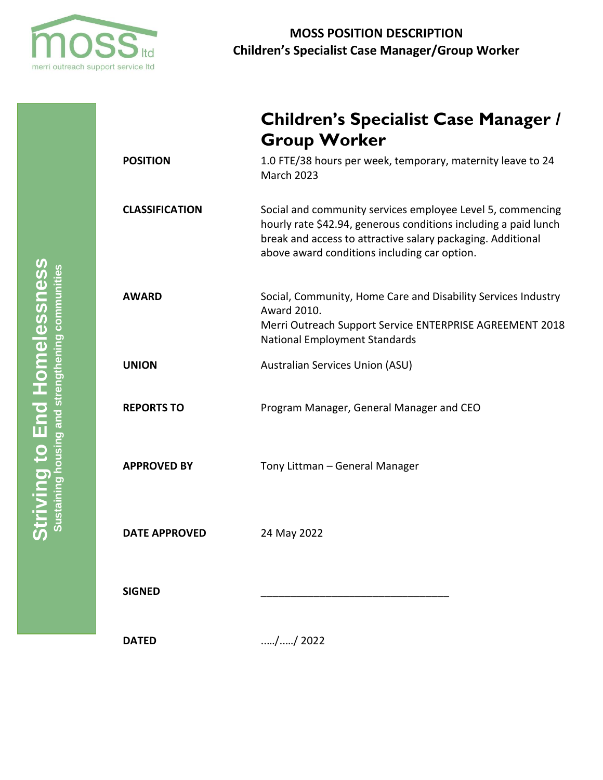

**Children's Specialist Case Manager /** 

|                       | <b>Group Worker</b>                                                                                                                                                                                                                          |
|-----------------------|----------------------------------------------------------------------------------------------------------------------------------------------------------------------------------------------------------------------------------------------|
| <b>POSITION</b>       | 1.0 FTE/38 hours per week, temporary, maternity leave to 24<br><b>March 2023</b>                                                                                                                                                             |
| <b>CLASSIFICATION</b> | Social and community services employee Level 5, commencing<br>hourly rate \$42.94, generous conditions including a paid lunch<br>break and access to attractive salary packaging. Additional<br>above award conditions including car option. |
| <b>AWARD</b>          | Social, Community, Home Care and Disability Services Industry<br>Award 2010.<br>Merri Outreach Support Service ENTERPRISE AGREEMENT 2018<br><b>National Employment Standards</b>                                                             |
| <b>UNION</b>          | Australian Services Union (ASU)                                                                                                                                                                                                              |
| <b>REPORTS TO</b>     | Program Manager, General Manager and CEO                                                                                                                                                                                                     |
| <b>APPROVED BY</b>    | Tony Littman - General Manager                                                                                                                                                                                                               |
| <b>DATE APPROVED</b>  | 24 May 2022                                                                                                                                                                                                                                  |
| <b>SIGNED</b>         |                                                                                                                                                                                                                                              |
| <b>DATED</b>          | // 2022                                                                                                                                                                                                                                      |

Striving to End Homelessness **Striving to End Homelessness** Sustaining housing and strengthening communities **Sustaining housing and strengthening communities**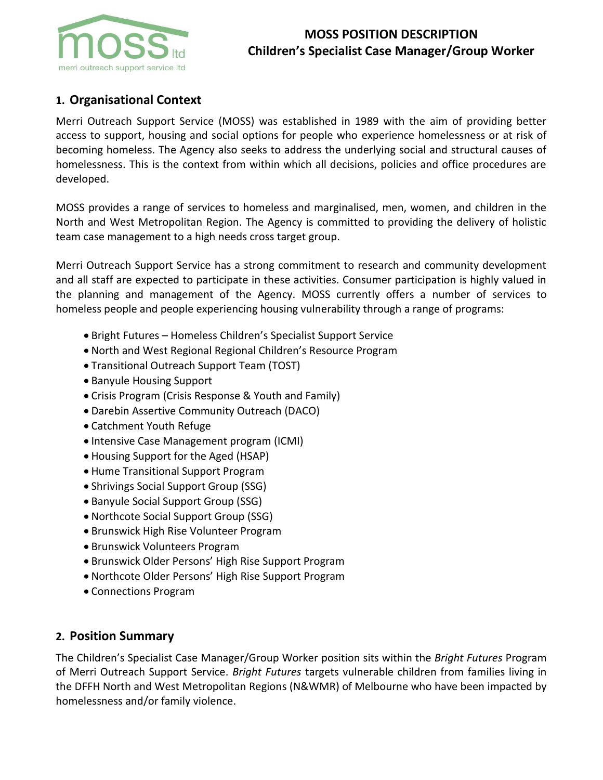

# **MOSS POSITION DESCRIPTION Children's Specialist Case Manager/Group Worker**

# **1. Organisational Context**

Merri Outreach Support Service (MOSS) was established in 1989 with the aim of providing better access to support, housing and social options for people who experience homelessness or at risk of becoming homeless. The Agency also seeks to address the underlying social and structural causes of homelessness. This is the context from within which all decisions, policies and office procedures are developed.

MOSS provides a range of services to homeless and marginalised, men, women, and children in the North and West Metropolitan Region. The Agency is committed to providing the delivery of holistic team case management to a high needs cross target group.

Merri Outreach Support Service has a strong commitment to research and community development and all staff are expected to participate in these activities. Consumer participation is highly valued in the planning and management of the Agency. MOSS currently offers a number of services to homeless people and people experiencing housing vulnerability through a range of programs:

- Bright Futures Homeless Children's Specialist Support Service
- North and West Regional Regional Children's Resource Program
- Transitional Outreach Support Team (TOST)
- Banyule Housing Support
- Crisis Program (Crisis Response & Youth and Family)
- Darebin Assertive Community Outreach (DACO)
- Catchment Youth Refuge
- Intensive Case Management program (ICMI)
- Housing Support for the Aged (HSAP)
- Hume Transitional Support Program
- Shrivings Social Support Group (SSG)
- Banyule Social Support Group (SSG)
- Northcote Social Support Group (SSG)
- Brunswick High Rise Volunteer Program
- Brunswick Volunteers Program
- Brunswick Older Persons' High Rise Support Program
- Northcote Older Persons' High Rise Support Program
- Connections Program

## **2. Position Summary**

The Children's Specialist Case Manager/Group Worker position sits within the *Bright Futures* Program of Merri Outreach Support Service. *Bright Futures* targets vulnerable children from families living in the DFFH North and West Metropolitan Regions (N&WMR) of Melbourne who have been impacted by homelessness and/or family violence.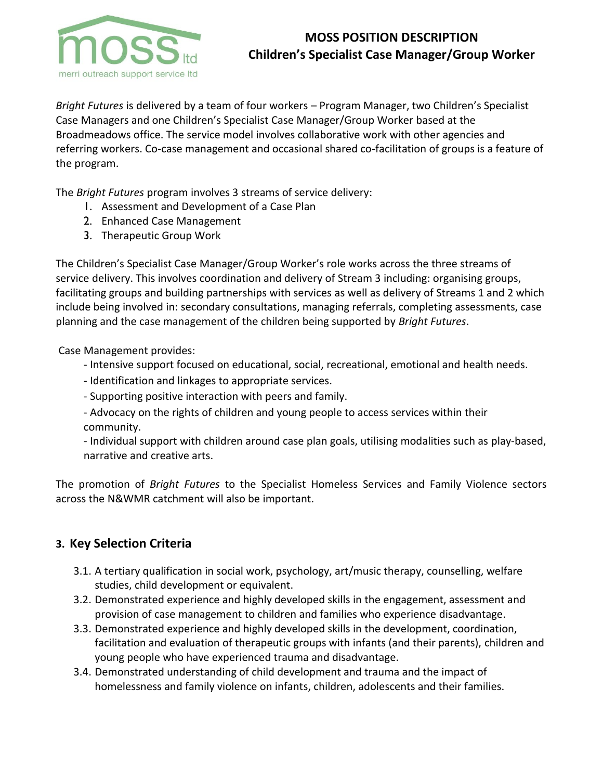

*Bright Futures* is delivered by a team of four workers – Program Manager, two Children's Specialist Case Managers and one Children's Specialist Case Manager/Group Worker based at the Broadmeadows office. The service model involves collaborative work with other agencies and referring workers. Co-case management and occasional shared co-facilitation of groups is a feature of the program.

The *Bright Futures* program involves 3 streams of service delivery:

- 1. Assessment and Development of a Case Plan
- 2. Enhanced Case Management
- 3. Therapeutic Group Work

The Children's Specialist Case Manager/Group Worker's role works across the three streams of service delivery. This involves coordination and delivery of Stream 3 including: organising groups, facilitating groups and building partnerships with services as well as delivery of Streams 1 and 2 which include being involved in: secondary consultations, managing referrals, completing assessments, case planning and the case management of the children being supported by *Bright Futures*.

Case Management provides:

- Intensive support focused on educational, social, recreational, emotional and health needs.
- Identification and linkages to appropriate services.
- Supporting positive interaction with peers and family.
- Advocacy on the rights of children and young people to access services within their community.

- Individual support with children around case plan goals, utilising modalities such as play-based, narrative and creative arts.

The promotion of *Bright Futures* to the Specialist Homeless Services and Family Violence sectors across the N&WMR catchment will also be important.

## **3. Key Selection Criteria**

- 3.1. A tertiary qualification in social work, psychology, art/music therapy, counselling, welfare studies, child development or equivalent.
- 3.2. Demonstrated experience and highly developed skills in the engagement, assessment and provision of case management to children and families who experience disadvantage.
- 3.3. Demonstrated experience and highly developed skills in the development, coordination, facilitation and evaluation of therapeutic groups with infants (and their parents), children and young people who have experienced trauma and disadvantage.
- 3.4. Demonstrated understanding of child development and trauma and the impact of homelessness and family violence on infants, children, adolescents and their families.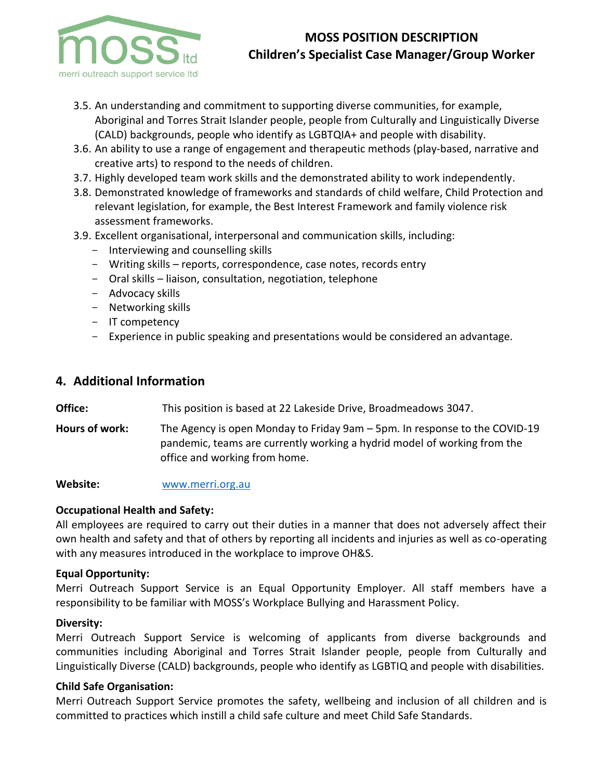

# **MOSS POSITION DESCRIPTION Children's Specialist Case Manager/Group Worker**

- 3.5. An understanding and commitment to supporting diverse communities, for example, Aboriginal and Torres Strait Islander people, people from Culturally and Linguistically Diverse (CALD) backgrounds, people who identify as LGBTQIA+ and people with disability.
- 3.6. An ability to use a range of engagement and therapeutic methods (play-based, narrative and creative arts) to respond to the needs of children.
- 3.7. Highly developed team work skills and the demonstrated ability to work independently.
- 3.8. Demonstrated knowledge of frameworks and standards of child welfare, Child Protection and relevant legislation, for example, the Best Interest Framework and family violence risk assessment frameworks.
- 3.9. Excellent organisational, interpersonal and communication skills, including:
	- Interviewing and counselling skills
	- Writing skills reports, correspondence, case notes, records entry
	- Oral skills liaison, consultation, negotiation, telephone
	- Advocacy skills
	- Networking skills
	- IT competency
	- Experience in public speaking and presentations would be considered an advantage.

## **4. Additional Information**

**Office:** This position is based at 22 Lakeside Drive, Broadmeadows 3047.

**Hours of work:** The Agency is open Monday to Friday 9am – 5pm. In response to the COVID-19 pandemic, teams are currently working a hydrid model of working from the office and working from home.

**Website:** [www.merri.org.au](http://www.merri.org.au/)

#### **Occupational Health and Safety:**

All employees are required to carry out their duties in a manner that does not adversely affect their own health and safety and that of others by reporting all incidents and injuries as well as co-operating with any measures introduced in the workplace to improve OH&S.

#### **Equal Opportunity:**

Merri Outreach Support Service is an Equal Opportunity Employer. All staff members have a responsibility to be familiar with MOSS's Workplace Bullying and Harassment Policy.

#### **Diversity:**

Merri Outreach Support Service is welcoming of applicants from diverse backgrounds and communities including Aboriginal and Torres Strait Islander people, people from Culturally and Linguistically Diverse (CALD) backgrounds, people who identify as LGBTIQ and people with disabilities.

#### **Child Safe Organisation:**

Merri Outreach Support Service promotes the safety, wellbeing and inclusion of all children and is committed to practices which instill a child safe culture and meet Child Safe Standards.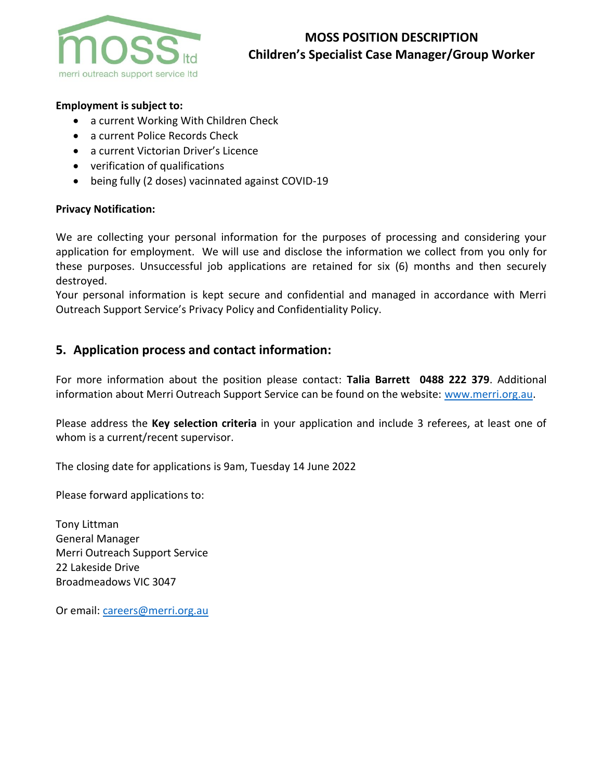

#### **Employment is subject to:**

- a current Working With Children Check
- a current Police Records Check
- a current Victorian Driver's Licence
- verification of qualifications
- being fully (2 doses) vacinnated against COVID-19

#### **Privacy Notification:**

We are collecting your personal information for the purposes of processing and considering your application for employment. We will use and disclose the information we collect from you only for these purposes. Unsuccessful job applications are retained for six (6) months and then securely destroyed.

Your personal information is kept secure and confidential and managed in accordance with Merri Outreach Support Service's Privacy Policy and Confidentiality Policy.

## **5. Application process and contact information:**

For more information about the position please contact: **Talia Barrett 0488 222 379**. Additional information about Merri Outreach Support Service can be found on the website: [www.merri.org.au.](http://www.merri.org.au/)

Please address the **Key selection criteria** in your application and include 3 referees, at least one of whom is a current/recent supervisor.

The closing date for applications is 9am, Tuesday 14 June 2022

Please forward applications to:

Tony Littman General Manager Merri Outreach Support Service 22 Lakeside Drive Broadmeadows VIC 3047

Or email: [careers@merri.org.au](mailto:careers@merri.org.au)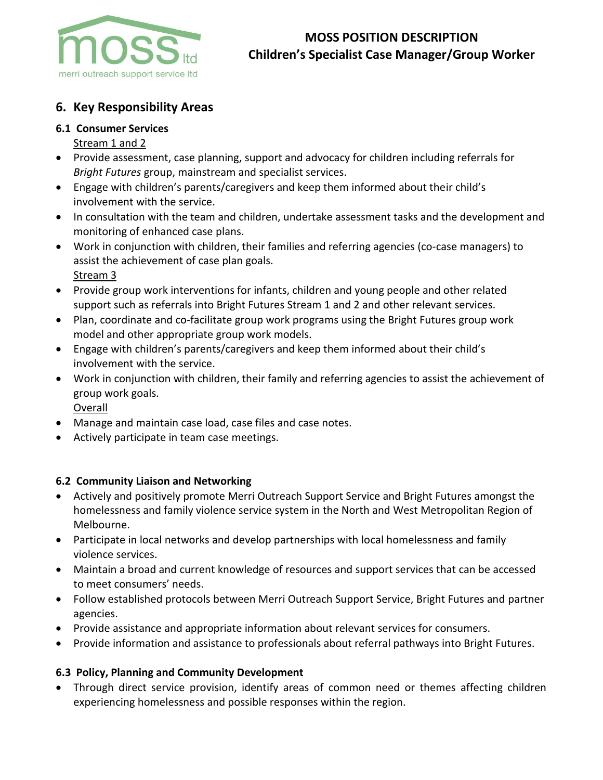

# **6. Key Responsibility Areas**

### **6.1 Consumer Services**

- Stream 1 and 2
- Provide assessment, case planning, support and advocacy for children including referrals for *Bright Futures* group, mainstream and specialist services.
- Engage with children's parents/caregivers and keep them informed about their child's involvement with the service.
- In consultation with the team and children, undertake assessment tasks and the development and monitoring of enhanced case plans.
- Work in conjunction with children, their families and referring agencies (co-case managers) to assist the achievement of case plan goals. Stream 3
- Provide group work interventions for infants, children and young people and other related support such as referrals into Bright Futures Stream 1 and 2 and other relevant services.
- Plan, coordinate and co-facilitate group work programs using the Bright Futures group work model and other appropriate group work models.
- Engage with children's parents/caregivers and keep them informed about their child's involvement with the service.
- Work in conjunction with children, their family and referring agencies to assist the achievement of group work goals.
	- Overall
- Manage and maintain case load, case files and case notes.
- Actively participate in team case meetings.

#### **6.2 Community Liaison and Networking**

- Actively and positively promote Merri Outreach Support Service and Bright Futures amongst the homelessness and family violence service system in the North and West Metropolitan Region of Melbourne.
- Participate in local networks and develop partnerships with local homelessness and family violence services.
- Maintain a broad and current knowledge of resources and support services that can be accessed to meet consumers' needs.
- Follow established protocols between Merri Outreach Support Service, Bright Futures and partner agencies.
- Provide assistance and appropriate information about relevant services for consumers.
- Provide information and assistance to professionals about referral pathways into Bright Futures.

## **6.3 Policy, Planning and Community Development**

• Through direct service provision, identify areas of common need or themes affecting children experiencing homelessness and possible responses within the region.